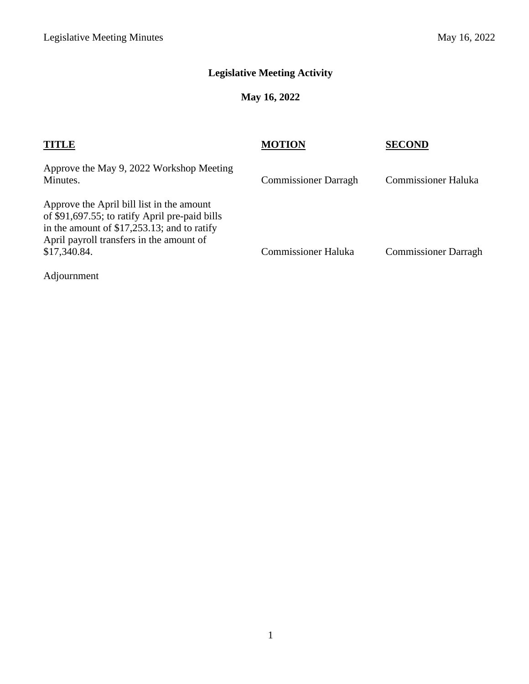# **Legislative Meeting Activity**

## **May 16, 2022**

| <b>TITLE</b>                                                                                                                                                                                             | <b>MOTION</b>               | SECOND                      |
|----------------------------------------------------------------------------------------------------------------------------------------------------------------------------------------------------------|-----------------------------|-----------------------------|
| Approve the May 9, 2022 Workshop Meeting<br>Minutes.                                                                                                                                                     | <b>Commissioner Darragh</b> | <b>Commissioner Haluka</b>  |
| Approve the April bill list in the amount<br>of \$91,697.55; to ratify April pre-paid bills<br>in the amount of $$17,253.13$ ; and to ratify<br>April payroll transfers in the amount of<br>\$17,340.84. | <b>Commissioner Haluka</b>  | <b>Commissioner Darragh</b> |
| Adjournment                                                                                                                                                                                              |                             |                             |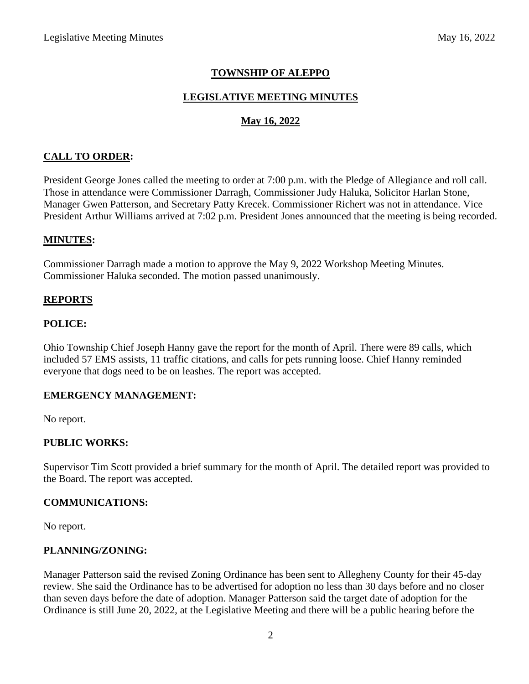### **TOWNSHIP OF ALEPPO**

### **LEGISLATIVE MEETING MINUTES**

### **May 16, 2022**

### **CALL TO ORDER:**

President George Jones called the meeting to order at 7:00 p.m. with the Pledge of Allegiance and roll call. Those in attendance were Commissioner Darragh, Commissioner Judy Haluka, Solicitor Harlan Stone, Manager Gwen Patterson, and Secretary Patty Krecek. Commissioner Richert was not in attendance. Vice President Arthur Williams arrived at 7:02 p.m. President Jones announced that the meeting is being recorded.

#### **MINUTES:**

Commissioner Darragh made a motion to approve the May 9, 2022 Workshop Meeting Minutes. Commissioner Haluka seconded. The motion passed unanimously.

### **REPORTS**

#### **POLICE:**

Ohio Township Chief Joseph Hanny gave the report for the month of April. There were 89 calls, which included 57 EMS assists, 11 traffic citations, and calls for pets running loose. Chief Hanny reminded everyone that dogs need to be on leashes. The report was accepted.

### **EMERGENCY MANAGEMENT:**

No report.

### **PUBLIC WORKS:**

Supervisor Tim Scott provided a brief summary for the month of April. The detailed report was provided to the Board. The report was accepted.

#### **COMMUNICATIONS:**

No report.

### **PLANNING/ZONING:**

Manager Patterson said the revised Zoning Ordinance has been sent to Allegheny County for their 45-day review. She said the Ordinance has to be advertised for adoption no less than 30 days before and no closer than seven days before the date of adoption. Manager Patterson said the target date of adoption for the Ordinance is still June 20, 2022, at the Legislative Meeting and there will be a public hearing before the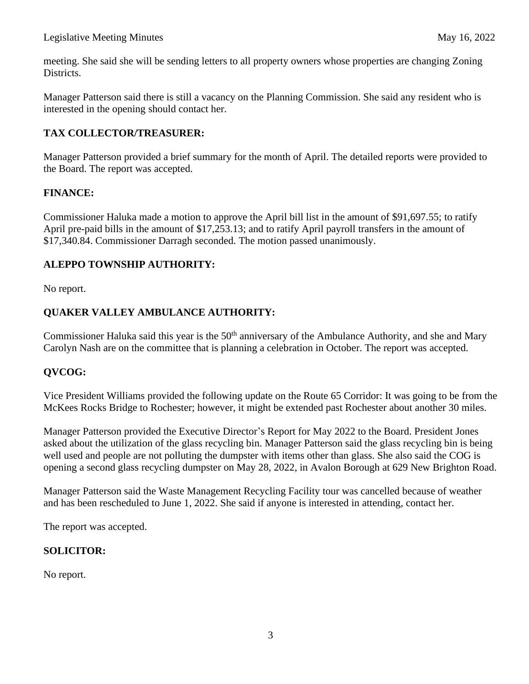meeting. She said she will be sending letters to all property owners whose properties are changing Zoning Districts.

Manager Patterson said there is still a vacancy on the Planning Commission. She said any resident who is interested in the opening should contact her.

### **TAX COLLECTOR/TREASURER:**

Manager Patterson provided a brief summary for the month of April. The detailed reports were provided to the Board. The report was accepted.

### **FINANCE:**

Commissioner Haluka made a motion to approve the April bill list in the amount of \$91,697.55; to ratify April pre-paid bills in the amount of \$17,253.13; and to ratify April payroll transfers in the amount of \$17,340.84. Commissioner Darragh seconded. The motion passed unanimously.

### **ALEPPO TOWNSHIP AUTHORITY:**

No report.

### **QUAKER VALLEY AMBULANCE AUTHORITY:**

Commissioner Haluka said this year is the  $50<sup>th</sup>$  anniversary of the Ambulance Authority, and she and Mary Carolyn Nash are on the committee that is planning a celebration in October. The report was accepted.

### **QVCOG:**

Vice President Williams provided the following update on the Route 65 Corridor: It was going to be from the McKees Rocks Bridge to Rochester; however, it might be extended past Rochester about another 30 miles.

Manager Patterson provided the Executive Director's Report for May 2022 to the Board. President Jones asked about the utilization of the glass recycling bin. Manager Patterson said the glass recycling bin is being well used and people are not polluting the dumpster with items other than glass. She also said the COG is opening a second glass recycling dumpster on May 28, 2022, in Avalon Borough at 629 New Brighton Road.

Manager Patterson said the Waste Management Recycling Facility tour was cancelled because of weather and has been rescheduled to June 1, 2022. She said if anyone is interested in attending, contact her.

The report was accepted.

### **SOLICITOR:**

No report.